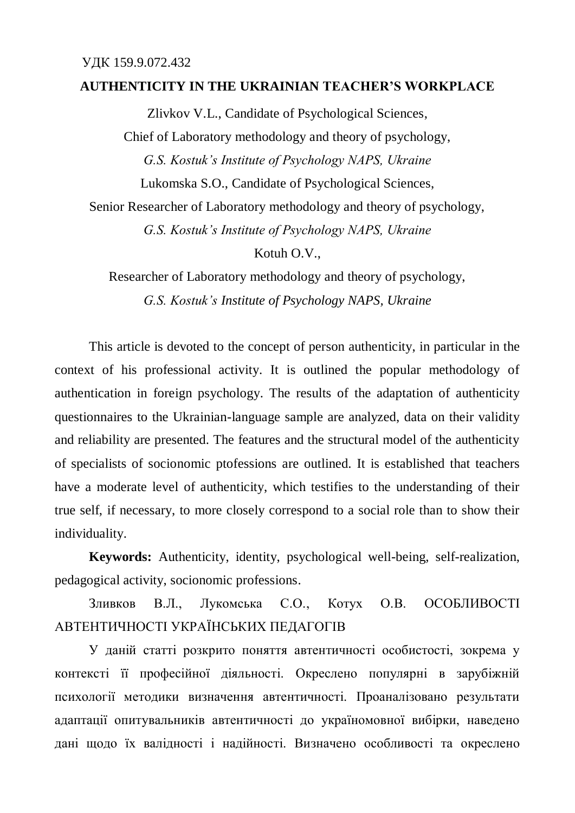## **AUTHENTICITY IN THE UKRAINIAN TEACHER'S WORKPLACE**

Zlivkov V.L., Candidate of Psychological Sciences, Chief of Laboratory methodology and theory of psychology, *G.S. Kostuk's Institute of Psychology NAPS, Ukraine* Lukomska S.O., Candidate of Psychological Sciences,

Senior Researcher of Laboratory methodology and theory of psychology,

*G.S. Kostuk's Institute of Psychology NAPS, Ukraine*

Kotuh O.V.,

Researcher of Laboratory methodology and theory of psychology,

*G.S. Kostuk's Institute of Psychology NAPS, Ukraine*

This article is devoted to the concept of person authenticity, in particular in the context of his professional activity. It is outlined the popular methodology of authentication in foreign psychology. The results of the adaptation of authenticity questionnaires to the Ukrainian-language sample are analyzed, data on their validity and reliability are presented. The features and the structural model of the authenticity of specialists of socionomic ptofessions are outlined. It is established that teachers have a moderate level of authenticity, which testifies to the understanding of their true self, if necessary, to more closely correspond to a social role than to show their individuality.

**Keywords:** Authenticity, identity, psychological well-being, self-realization, pedagogical activity, socionomic professions.

Зливков В.Л., Лукомська С.О., Котух О.В. ОСОБЛИВОСТІ АВТЕНТИЧНОСТІ УКРАЇНСЬКИХ ПЕДАГОГІВ

У даній статті розкрито поняття автентичності особистості, зокрема у контексті її професійної діяльності. Окреслено популярні в зарубіжній психології методики визначення автентичності. Проаналізовано результати адаптації опитувальників автентичності до україномовної вибірки, наведено дані щодо їх валідності і надійності. Визначено особливості та окреслено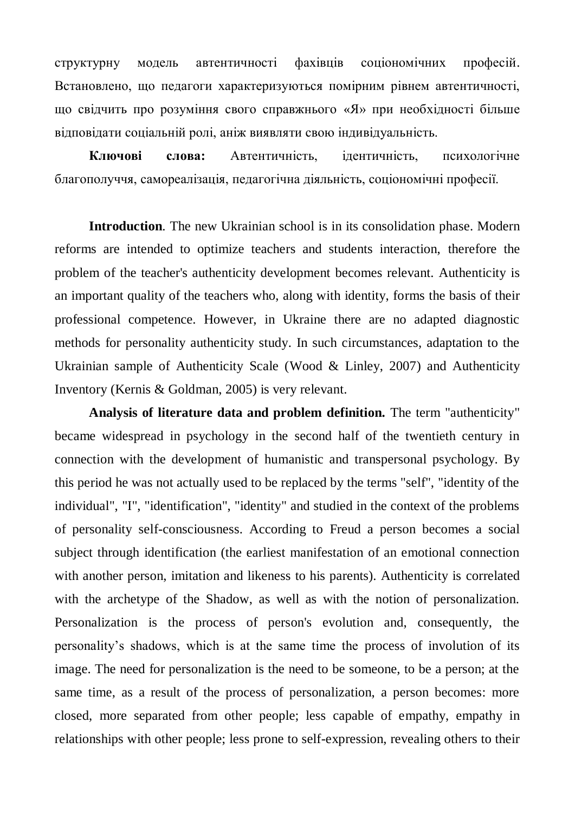структурну модель автентичності фахівців соціономічних професій. Встановлено, що педагоги характеризуються помірним рівнем автентичності, що свідчить про розуміння свого справжнього «Я» при необхідності більше відповідати соціальній ролі, аніж виявляти свою індивідуальність.

**Ключові слова:** Автентичність, ідентичність, психологічне благополуччя, самореалізація, педагогічна діяльність, соціономічні професії.

**Introduction**. The new Ukrainian school is in its consolidation [phase.](http://context.reverso.net/перевод/английский-русский/phase) Modern reforms are intended to optimize teachers and students interaction, [therefore](http://context.reverso.net/перевод/английский-русский/therefore) the problem of the teacher's authenticity development [becomes relevant.](http://context.reverso.net/перевод/английский-русский/becomes+relevant) Authenticity is an important quality of the teachers who, along with identity, forms the basis of their professional competence. However, in Ukraine there are no adapted diagnostic methods for personality authenticity study. In such circumstances, adaptation to the Ukrainian sample of Authenticity Scale (Wood & Linley, 2007) and Authenticity Inventory (Kernis & Goldman, 2005) is very relevant.

**Analysis of literature data and problem definition.** The term "authenticity" became widespread in psychology in the second half of the twentieth century in connection with the development of humanistic and transpersonal psychology. By this period he was not actually used to be replaced by the terms "self", "identity of the individual", "I", "identification", "identity" and studied in the context of the problems of personality self-consciousness. According to Freud a person becomes a social subject through identification (the earliest manifestation of an emotional connection with another person, imitation and likeness to his parents). Authenticity is [correlated](http://context.reverso.net/перевод/английский-русский/correlated) with the archetype of the Shadow, as well as with the notion of personalization. Personalization is the process of person's evolution and, consequently, the personality's shadows, which is at the same time the process of involution of its image. The need for personalization is the need to be someone, to be a person; at the same time, as a result of the process of personalization, a person becomes: more closed, more separated from other people; less capable of empathy, empathy in relationships with other people; less prone to self-expression, revealing others to their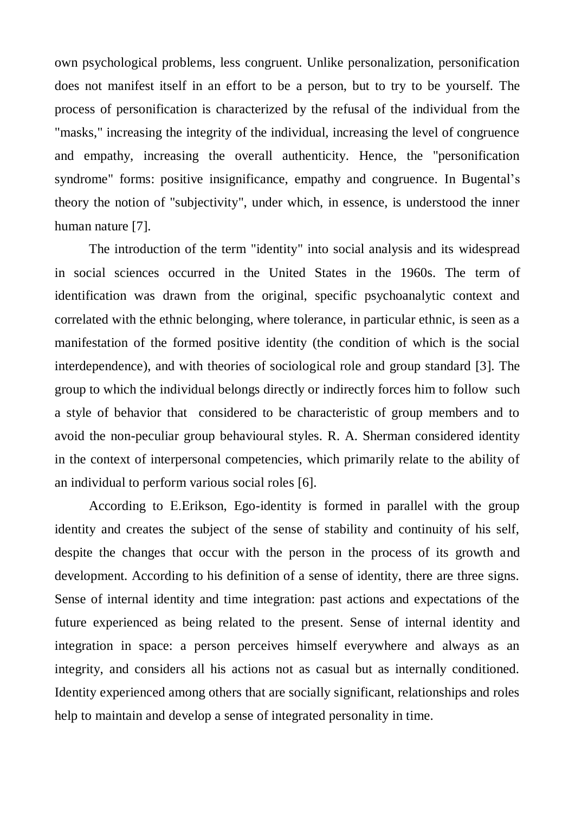own psychological problems, less congruent. Unlike personalization, personification does not manifest itself [in an effort to](http://context.reverso.net/перевод/английский-русский/in+an+effort+to) be a person, but to try to [be yourself.](http://context.reverso.net/перевод/английский-русский/be+yourself) The process of personification is characterized by the refusal of the individual from the "masks," increasing the integrity of the individual, increasing the level of congruence and empathy, increasing the overall authenticity. Hence, the "personification syndrome" forms: positive insignificance, empathy and congruence. [In Bugental's](http://context.reverso.net/перевод/английский-русский/in+theory) [theory](http://context.reverso.net/перевод/английский-русский/in+theory) the notion of "subjectivity", under which, in essence, is understood the inner human nature [7].

The introduction of the term "identity" into social analysis and its [widespread](http://context.reverso.net/перевод/английский-русский/is+widespread) in social sciences occurred in the United States in the 1960s. The [term](http://context.reverso.net/перевод/английский-русский/referred+term) of identification was [drawn](http://context.reverso.net/перевод/английский-русский/terms+drawn) from the original, specific psychoanalytic context and correlated with the ethnic belonging, where tolerance, in particular ethnic, is seen as a manifestation of the formed positive identity (the condition of which is the social interdependence), and with theories of sociological role and group standard [3]. The group to which the individual belongs directly or indirectly forces him to [follow](http://context.reverso.net/перевод/английский-русский/follow) such a style of behavior that considered to be characteristic of group members and to avoid the non-peculiar group [behavioural](http://context.reverso.net/перевод/английский-русский/behavioural) styles. R. A. Sherman considered identity in the context of interpersonal competencies, which primarily relate to the ability of an individual to perform various social roles [6].

According to Е.Erikson, Ego-identity is formed in parallel with the group identity and creates the subject of the sense of stability and continuity of his self, despite the changes that occur with the person in the process of its growth and development. According to his definition of a sense of identity, there are three signs. Sense of internal identity and time integration: past actions and expectations of the future experienced as being related to the present. Sense of internal identity and integration in space: a person perceives himself everywhere and always as an integrity, and considers all his actions not as casual but as internally conditioned. Identity experienced among others that are socially significant, relationships and roles help to maintain and develop a sense of integrated personality in time.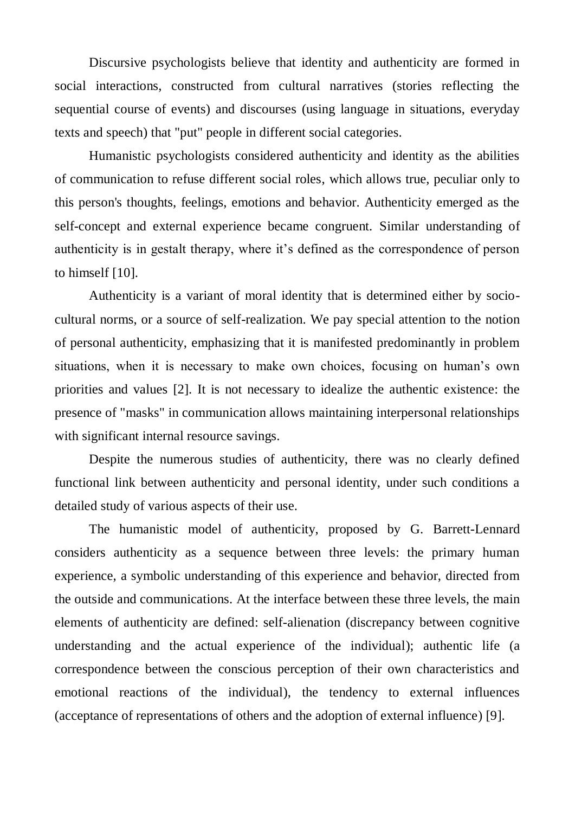Discursive psychologists believe that identity and authenticity are formed in social interactions, constructed from cultural narratives (stories reflecting the sequential course of events) and discourses (using language in situations, everyday texts and speech) that "put" people in different social categories.

Humanistic psychologists considered authenticity and identity as the abilities of communication to refuse different social roles, which allows true, peculiar only to this person's thoughts, feelings, emotions and behavior. Authenticity emerged as the self-concept and external experience became congruent. [Similar](http://context.reverso.net/перевод/английский-русский/similar) understanding of authenticity is in gestalt therapy, where it's defined as the correspondence of person to himself [10].

Authenticity is a variant of moral identity that is determined either by sociocultural norms, or a source of self-realization. We pay special attention to the notion of personal authenticity, emphasizing that it is manifested predominantly in problem situations, when it is necessary to make own choices, focusing on human's own priorities and values [2]. It is not necessary to idealize the authentic existence: the presence of "masks" in communication allows maintaining interpersonal relationships with significant internal resource savings.

Despite the numerous studies of authenticity, there was no clearly defined functional link between authenticity and personal identity, under such conditions a detailed study of various aspects of their use.

The humanistic model of authenticity, proposed by G. Barrett-Lennard considers authenticity as a sequence between three levels: the primary human experience, a symbolic understanding of this experience and behavior, directed from the outside and communications. [At the interface between](http://context.reverso.net/перевод/английский-русский/at+the+interface+between) these three levels, the main elements of authenticity [are defined:](http://context.reverso.net/перевод/английский-русский/are+defined) self-alienation (discrepancy between cognitive understanding and the actual experience of the individual); authentic life (a correspondence between the conscious perception of their own characteristics and emotional reactions of the individual), the tendency to external influences (acceptance of representations of others and the adoption of external influence) [9].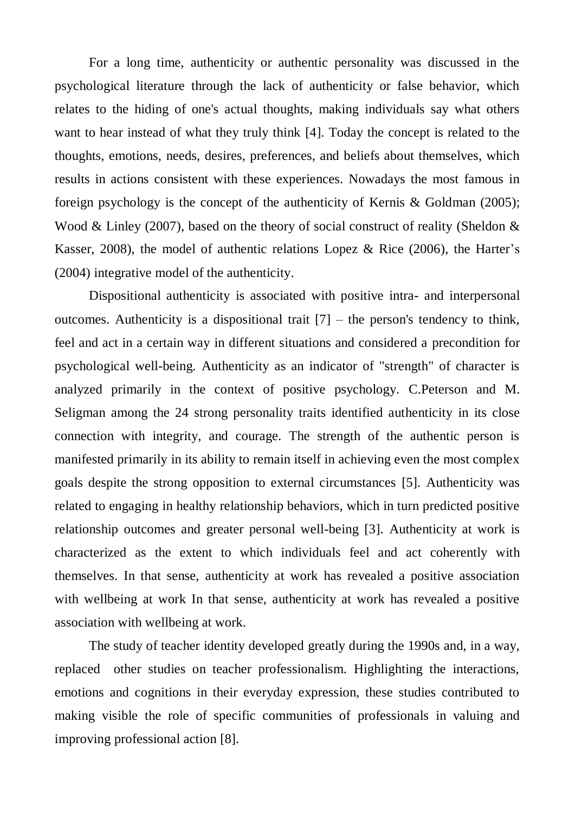For a long time, authenticity or authentic personality was discussed in the psychological literature through the lack of authenticity or false behavior, which relates to the hiding of one's actual thoughts, making individuals say what others want to hear instead of what they truly think [4]. Today the concept is related to the thoughts, emotions, needs, desires, preferences, and beliefs about themselves, which results in actions consistent with these experiences. Nowadays the most famous in foreign psychology is the concept of the authenticity of Kernis & Goldman (2005); Wood & Linley (2007), based on the theory of social construct of reality (Sheldon & Kasser, 2008), the model of authentic relations Lopez & Rice (2006), the Harter's (2004) integrative model of the authenticity.

Dispositional authenticity is associated with positive intra- and interpersonal outcomes. Authenticity is a dispositional [trait](http://context.reverso.net/перевод/английский-русский/trait)  $[7]$  – the person's tendency to think, feel and act in a certain way in different situations and considered a [precondition](http://context.reverso.net/перевод/английский-русский/precondition) for psychological well-being. Authenticity as an indicator of "strength" of character is analyzed primarily in the context of positive psychology. C.Peterson and M. Seligman among the 24 strong personality traits identified authenticity in its close connection with integrity, and courage. The strength of the authentic person is manifested primarily in its ability to remain itself in achieving even the most complex goals despite the strong opposition to external circumstances [5]. Authenticity was related to engaging in healthy relationship behaviors, which in turn predicted positive relationship outcomes and greater personal well-being [3]. Authenticity at work is characterized as the extent to which individuals feel and act coherently with themselves. In that sense, authenticity at work has revealed a positive association with wellbeing at work In that sense, authenticity at work has revealed a positive association with wellbeing at work.

The study of teacher identity developed greatly during the 1990s and, in a way, replaced other studies on teacher professionalism. Highlighting the interactions, emotions and cognitions in their everyday expression, these studies contributed to making visible the role of specific communities of professionals in valuing and improving professional action [8].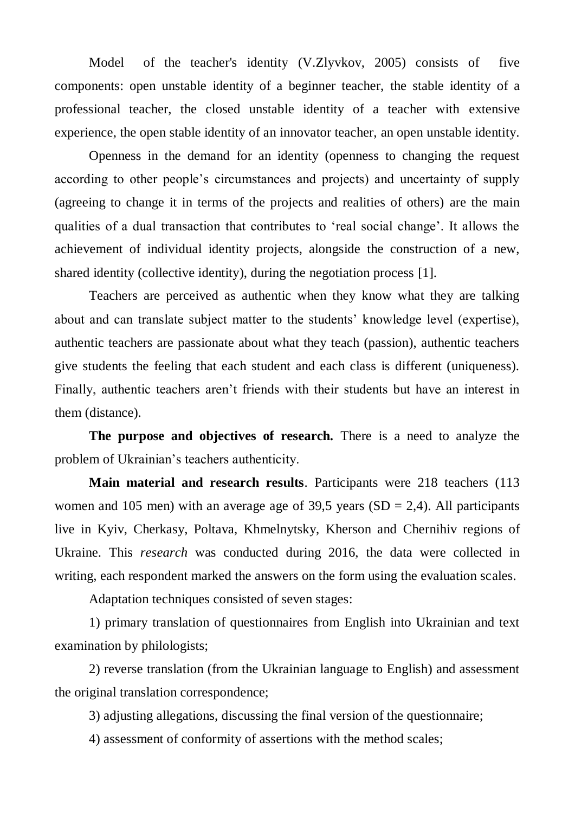Model of the teacher's identity (V.Zlyvkov, 2005) consists of five components: open unstable identity of a beginner teacher, the stable identity of a professional teacher, the closed unstable identity of a teacher with [extensive](http://context.reverso.net/перевод/английский-русский/extensive+experience)  [experience,](http://context.reverso.net/перевод/английский-русский/extensive+experience) the open stable identity of an innovator teacher, an open unstable identity.

Openness in the demand for an identity (openness to changing the request according to other people's circumstances and projects) and uncertainty of supply (agreeing to change it in terms of the projects and realities of others) are the main qualities of a dual transaction that contributes to 'real social change'. It allows the achievement of individual identity projects, alongside the construction of a new, shared identity (collective identity), during the negotiation process [1].

Teachers are perceived as authentic when they know what they are talking about and can translate subject matter to the students' knowledge level (expertise), authentic teachers are passionate about what they teach (passion), authentic teachers give students the feeling that each student and each class is different (uniqueness). Finally, authentic teachers aren't friends with their students but have an interest in them (distance).

**The purpose and objectives of research.** There is a need to analyze the problem of Ukrainian's teachers authenticity.

**Main material and research results**. Participants were 218 teachers (113 women and 105 men) with an average age of 39,5 years ( $SD = 2,4$ ). All participants live in Kyiv, Cherkasy, Poltava, Khmelnytsky, Kherson and Chernihiv regions of Ukraine. This *[research](http://context.reverso.net/перевод/английский-русский/research)* was conducted during 2016, the data were collected in writing, each respondent marked the answers on the form using the evaluation scales.

Adaptation techniques consisted of seven stages:

1) primary translation of questionnaires from English into Ukrainian and text examination by philologists;

2) reverse translation (from the Ukrainian language to English) and assessment the original translation correspondence;

3) adjusting allegations, discussing the final version of the questionnaire;

4) assessment of conformity of assertions with the method scales;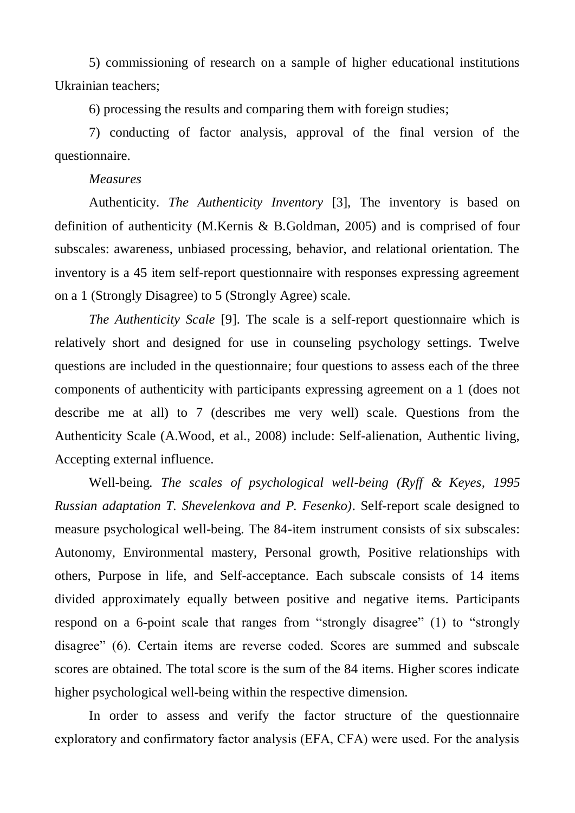5) [commissioning of research](http://context.reverso.net/перевод/английский-русский/The+commissioning+of+research) on a sample of higher educational institutions Ukrainian teachers;

6) processing the results and comparing them with foreign studies;

7) conducting of factor analysis, approval of the final version of the questionnaire.

## *Measures*

Authenticity. *The Authenticity Inventory* [3], The inventory is based on definition of authenticity (M.Kernis & B.Goldman, 2005) and is comprised of four subscales: awareness, unbiased processing, behavior, and relational orientation. The inventory is a 45 item self-report questionnaire with responses expressing agreement on a 1 (Strongly Disagree) to 5 (Strongly Agree) scale.

*The Authenticity Scale* [9]. The scale is a self-report questionnaire which is relatively short and designed for use in counseling psychology settings. Twelve questions are included in the questionnaire; four questions to assess each of the three components of authenticity with participants expressing agreement on a 1 (does not describe me at all) to 7 (describes me very well) scale. Questions from the Authenticity Scale (A.Wood, et al., 2008) include: Self-alienation, Authentic living, Accepting external influence.

Well-being*. The scales of psychological well-being (Ryff & Keyes, 1995 Russian adaptation T. Shevelenkova and P. Fesenko)*. Self-report scale designed to measure psychological well-being. The 84-item instrument consists of six subscales: Autonomy, Environmental mastery, Personal growth, Positive relationships with others, Purpose in life, and Self-acceptance. Each subscale consists of 14 items divided approximately equally between positive and negative items. Participants respond on a 6-point scale that ranges from "strongly disagree" (1) to "strongly disagree" (6). Certain items are reverse coded. Scores are summed and subscale scores are obtained. The total score is the sum of the 84 items. Higher scores indicate higher psychological well-being within the respective dimension.

In order to assess and verify the factor structure of the questionnaire еxploratory and confirmatory factor analysis (EFA, CFA) were used. For the analysis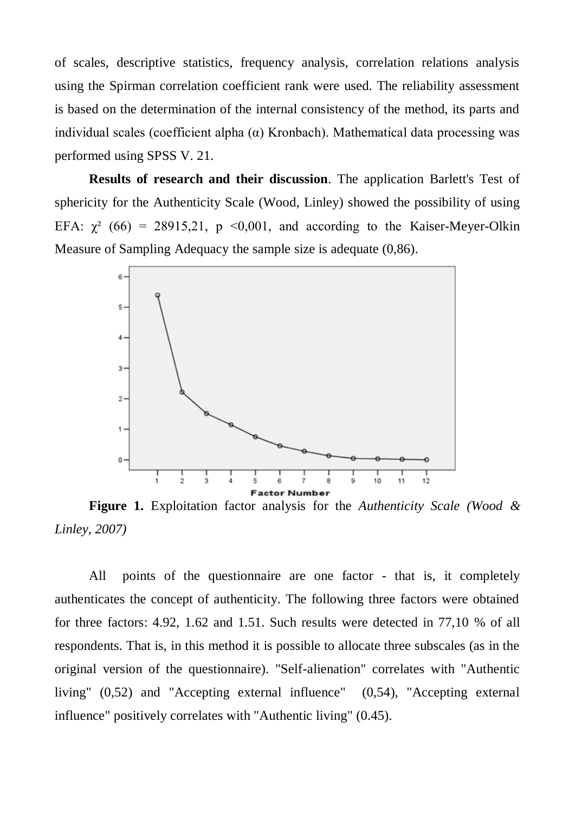of scales, descriptive statistics, frequency analysis, correlation relations analysis using the Spirman correlation coefficient rank were used. The reliability assessment is based on the determination of the internal consistency of the method, its parts and individual scales (coefficient alpha (α) Kronbach). Mathematical data processing was performed using SPSS V. 21.

**Results of research and their discussion**. The application Barlett's Test of sphericity for the Authenticity Scale (Wood, Linley) showed the possibility of using EFA:  $\gamma^2$  (66) = 28915,21, p <0,001, and according to the Kaiser-Meyer-Olkin Measure of Sampling Adequacy the sample size is adequate (0,86).



**Figure 1.** Exploitation factor analysis for the *Authenticity Scale (Wood & Linley, 2007)*

All points of the questionnaire are one factor - that is, it completely authenticates the concept of authenticity. The following three factors were obtained for three factors: 4.92, 1.62 and 1.51. Such results were detected in 77,10 % of all respondents. That is, in this method it is possible to allocate three subscales (as in the original version of the questionnaire). "Self-alienation" correlates with "Authentic living" (0,52) and "Accepting external influence" (0,54), "Accepting external influence" positively correlates with "Authentic living" (0.45).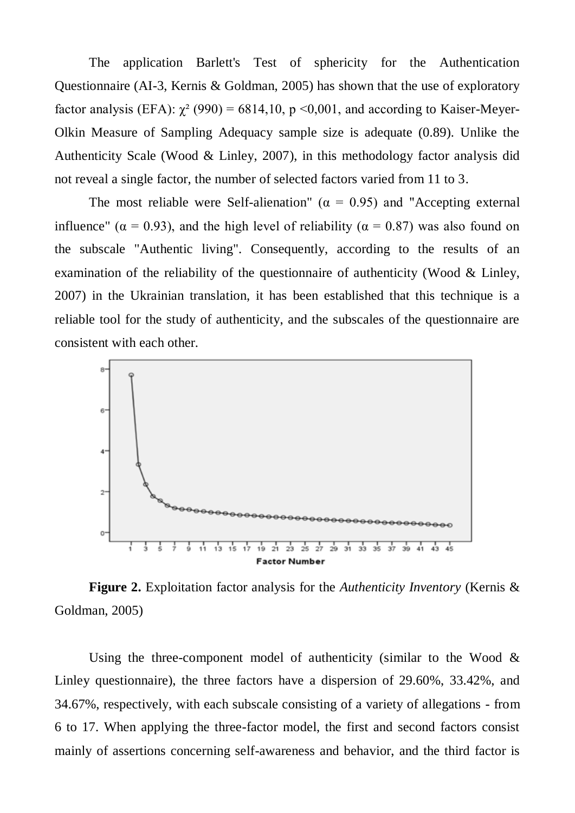The application Barlett's Test of sphericity for the Authentication Questionnaire (AI-3, Kernis & Goldman, 2005) has shown that the use of exploratory factor analysis (EFA):  $\chi^2$  (990) = 6814,10, p <0,001, and according to Kaiser-Meyer-Olkin Measure of Sampling Adequacy sample size is adequate (0.89). Unlike the Authenticity Scale (Wood & Linley, 2007), in this methodology factor analysis did not reveal a single factor, the number of selected factors varied from 11 to 3.

The most reliable were Self-alienation" ( $\alpha = 0.95$ ) and "Accepting external influence" ( $\alpha = 0.93$ ), and the high level of reliability ( $\alpha = 0.87$ ) was also found on the subscale "Authentic living". Consequently, according to the results of an examination of the reliability of the questionnaire of authenticity (Wood & Linley, 2007) in the Ukrainian translation, it has been established that this technique is a reliable tool for the study of authenticity, and the subscales of the questionnaire are consistent with each other.



**Figure 2.** Exploitation factor analysis for the *Authenticity Inventory* (Kernis & Goldman, 2005)

Using the three-component model of authenticity (similar to the Wood  $\&$ Linley questionnaire), the three factors have a dispersion of 29.60%, 33.42%, and 34.67%, respectively, with each subscale consisting of a variety of allegations - from 6 to 17. When applying the three-factor model, the first and second factors consist mainly of assertions concerning self-awareness and behavior, and the third factor is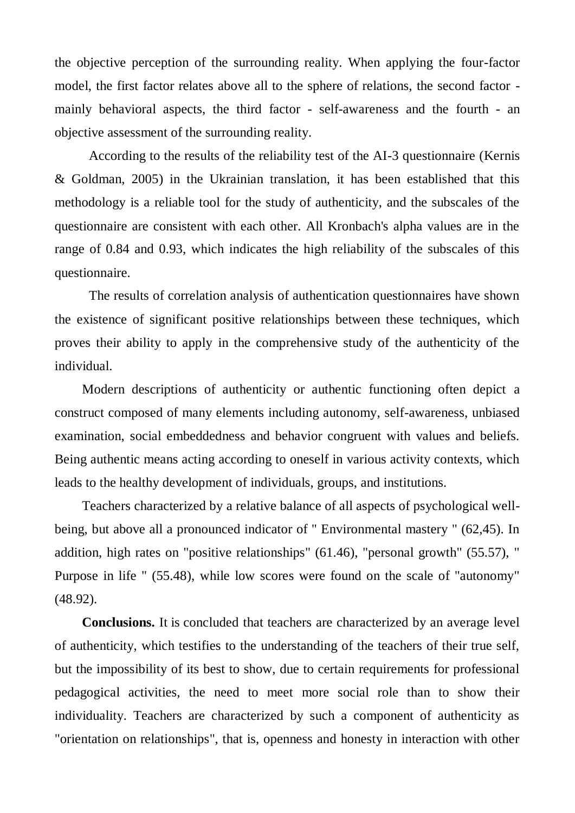the objective perception of the surrounding reality. When applying the four-factor model, the first factor relates above all to the sphere of relations, the second factor mainly behavioral aspects, the third factor - self-awareness and the fourth - an objective assessment of the surrounding reality.

According to the results of the reliability test of the AI-3 questionnaire (Kernis & Goldman, 2005) in the Ukrainian translation, it has been established that this methodology is a reliable tool for the study of authenticity, and the subscales of the questionnaire are consistent with each other. All Kronbach's alpha values are in the range of 0.84 and 0.93, which indicates the high reliability of the subscales of this questionnaire.

The results of correlation analysis of authentication questionnaires have shown the existence of significant positive relationships between these techniques, which proves their ability to apply in the comprehensive study of the authenticity of the individual.

Modern descriptions of authenticity or authentic functioning often depict a construct composed of many elements including autonomy, self-awareness, unbiased examination, social embeddedness and behavior congruent with values and beliefs. Being authentic means acting according to oneself in various activity contexts, which leads to the healthy development of individuals, groups, and institutions.

Teachers characterized by a relative balance of all aspects of psychological wellbeing, but above all a pronounced indicator of " Environmental mastery " (62,45). In addition, high rates on "positive relationships" (61.46), "personal growth" (55.57), " Purpose in life " (55.48), while low scores were found on the scale of "autonomy" (48.92).

**Conclusions.** It is concluded that teachers are characterized by an average level of authenticity, which testifies to the understanding of the teachers of their true self, but the impossibility of its best to show, due to certain requirements for professional pedagogical activities, the need to meet more social role than to show their individuality. Teachers are characterized by such a component of authenticity as "orientation on relationships", that is, openness and honesty in interaction with other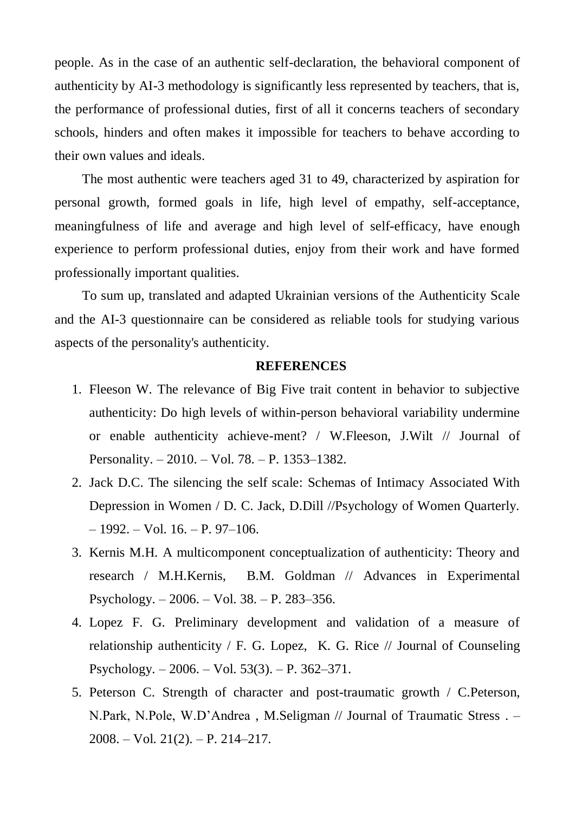people. As in the case of an authentic self-declaration, the behavioral component of authenticity by AI-3 methodology is significantly less represented by teachers, that is, the performance of professional duties, first of all it concerns teachers of secondary schools, hinders and often makes it impossible for teachers to behave according to their own values and ideals.

The most authentic were teachers aged 31 to 49, characterized by aspiration for personal growth, formed goals in life, high level of empathy, self-acceptance, meaningfulness of life and average and high level of self-efficacy, have enough experience to perform professional duties, enjoy from their work and have formed professionally important qualities.

To sum up, translated and adapted Ukrainian versions of the Authenticity Scale and the AI-3 questionnaire can be considered as reliable tools for studying various aspects of the personality's authenticity.

## **REFERENCES**

- 1. Fleeson W. The relevance of Big Five trait content in behavior to subjective authenticity: Do high levels of within-person behavioral variability undermine or enable authenticity achieve-ment? / W.Fleeson, J.Wilt // Journal of Personality. – 2010. – Vol. 78. – P. 1353–1382.
- 2. Jack D.C. The silencing the self scale: Schemas of Intimacy Associated With Depression in Women / D. C. Jack, D.Dill //Psychology of Women Quarterly.  $-1992. - Vol. 16. - P. 97-106.$
- 3. Kernis M.H. A multicomponent conceptualization of authenticity: Theory and research / M.H.Kernis, B.M. Goldman // Advances in Experimental Psychology. – 2006. – Vol. 38. – P. 283–356.
- 4. Lopez F. G. Preliminary development and validation of a measure of relationship authenticity / F. G. Lopez, K. G. Rice // Journal of Counseling Psychology. – 2006. – Vol. 53(3). – P. 362–371.
- 5. Peterson C. Strength of character and post-traumatic growth / C.Peterson, N.Park, N.Pole, W.D'Andrea , M.Seligman // Journal of Traumatic Stress . – 2008. – Vol. 21(2). – P. 214–217.